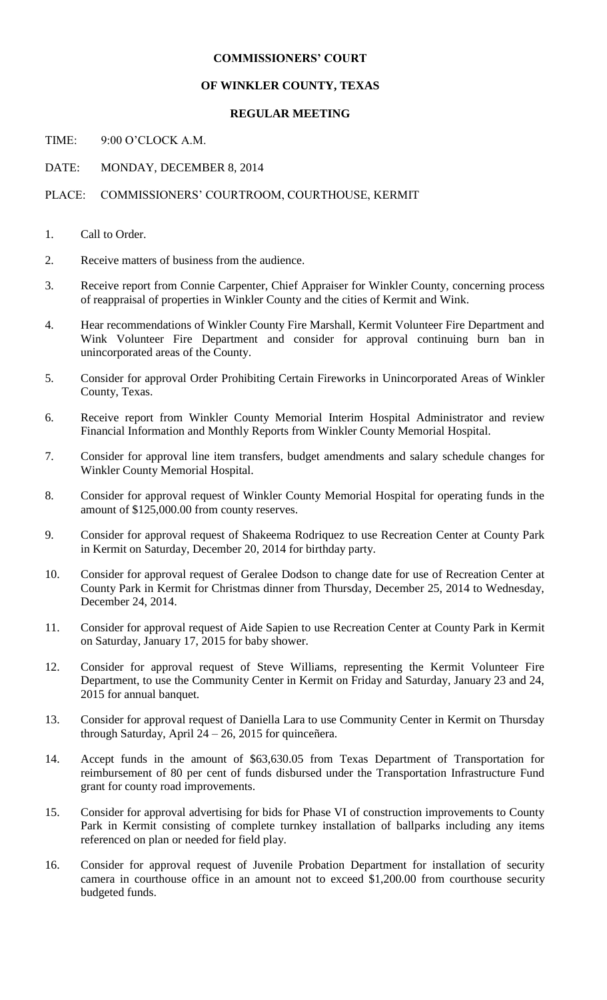## **COMMISSIONERS' COURT**

#### **OF WINKLER COUNTY, TEXAS**

## **REGULAR MEETING**

TIME: 9:00 O'CLOCK A.M.

DATE: MONDAY, DECEMBER 8, 2014

## PLACE: COMMISSIONERS' COURTROOM, COURTHOUSE, KERMIT

- 1. Call to Order.
- 2. Receive matters of business from the audience.
- 3. Receive report from Connie Carpenter, Chief Appraiser for Winkler County, concerning process of reappraisal of properties in Winkler County and the cities of Kermit and Wink.
- 4. Hear recommendations of Winkler County Fire Marshall, Kermit Volunteer Fire Department and Wink Volunteer Fire Department and consider for approval continuing burn ban in unincorporated areas of the County.
- 5. Consider for approval Order Prohibiting Certain Fireworks in Unincorporated Areas of Winkler County, Texas.
- 6. Receive report from Winkler County Memorial Interim Hospital Administrator and review Financial Information and Monthly Reports from Winkler County Memorial Hospital.
- 7. Consider for approval line item transfers, budget amendments and salary schedule changes for Winkler County Memorial Hospital.
- 8. Consider for approval request of Winkler County Memorial Hospital for operating funds in the amount of \$125,000.00 from county reserves.
- 9. Consider for approval request of Shakeema Rodriquez to use Recreation Center at County Park in Kermit on Saturday, December 20, 2014 for birthday party.
- 10. Consider for approval request of Geralee Dodson to change date for use of Recreation Center at County Park in Kermit for Christmas dinner from Thursday, December 25, 2014 to Wednesday, December 24, 2014.
- 11. Consider for approval request of Aide Sapien to use Recreation Center at County Park in Kermit on Saturday, January 17, 2015 for baby shower.
- 12. Consider for approval request of Steve Williams, representing the Kermit Volunteer Fire Department, to use the Community Center in Kermit on Friday and Saturday, January 23 and 24, 2015 for annual banquet.
- 13. Consider for approval request of Daniella Lara to use Community Center in Kermit on Thursday through Saturday, April  $24 - 26$ , 2015 for quinceñera.
- 14. Accept funds in the amount of \$63,630.05 from Texas Department of Transportation for reimbursement of 80 per cent of funds disbursed under the Transportation Infrastructure Fund grant for county road improvements.
- 15. Consider for approval advertising for bids for Phase VI of construction improvements to County Park in Kermit consisting of complete turnkey installation of ballparks including any items referenced on plan or needed for field play.
- 16. Consider for approval request of Juvenile Probation Department for installation of security camera in courthouse office in an amount not to exceed \$1,200.00 from courthouse security budgeted funds.